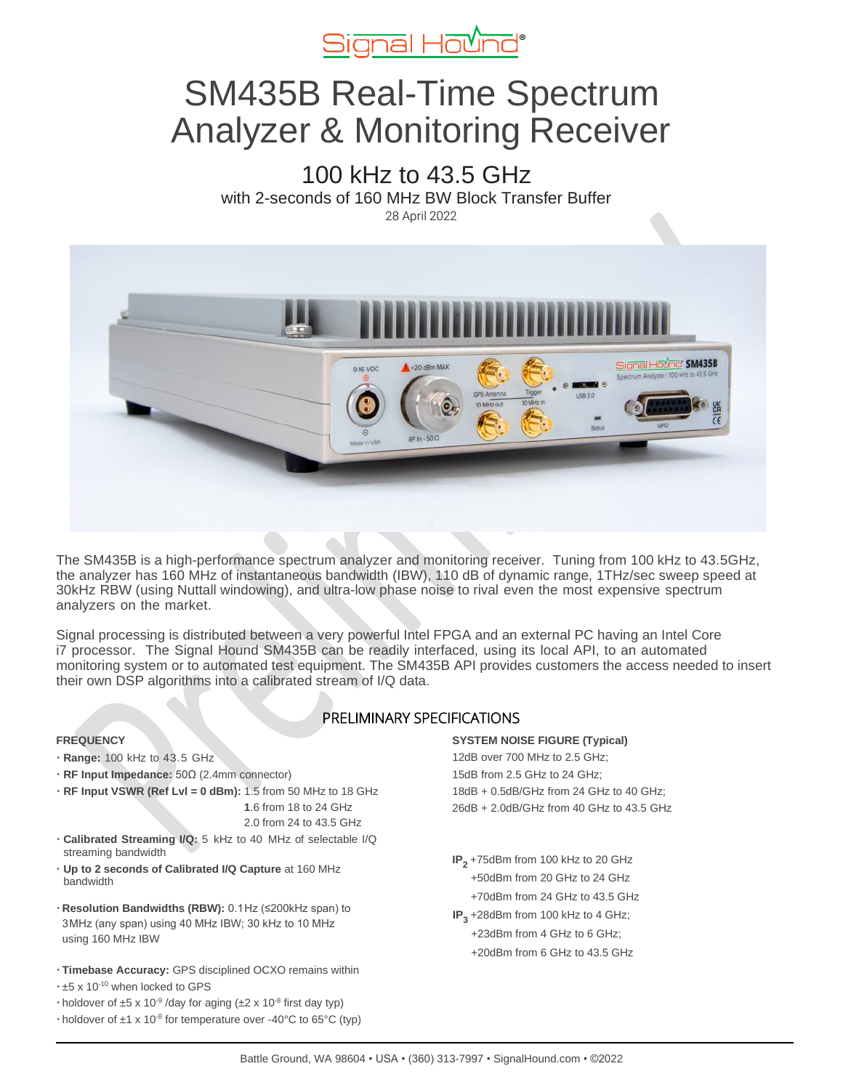

# SM435B Real-Time Spectrum Analyzer & Monitoring Receiver

## 100 kHz to 43.5 GHz

with 2-seconds of 160 MHz BW Block Transfer Buffer

28 April 2022



The SM435B is a high-performance spectrum analyzer and monitoring receiver. Tuning from 100 kHz to 43.5GHz, the analyzer has 160 MHz of instantaneous bandwidth (IBW), 110 dB of dynamic range, 1THz/sec sweep speed at 30kHz RBW (using Nuttall windowing), and ultra-low phase noise to rival even the most expensive spectrum analyzers on the market.

Signal processing is distributed between a very powerful Intel FPGA and an external PC having an Intel Core i7 processor. The Signal Hound SM435B can be readily interfaced, using its local API, to an automated monitoring system or to automated test equipment. The SM435B API provides customers the access needed to insert their own DSP algorithms into a calibrated stream of I/Q data.

### PRELIMINARY SPECIFICATIONS

#### **FREQUENCY**

- **Range:** 100 kHz to 43.5 GHz
- **RF Input Impedance:** 50Ω (2.4mm connector)
- **RF Input VSWR (Ref Lvl = 0 dBm):** 1.5 from 50 MHz to 18 GHz

 **1**.6 from 18 to 24 GHz

- 2.0 from 24 to 43.5 GHz
- **Calibrated Streaming I/Q:** 5 kHz to 40 MHz of selectable I/Q streaming bandwidth
- **Up to 2 seconds of Calibrated I/Q Capture** at 160 MHz bandwidth
- **Resolution Bandwidths (RBW):** 0.1 Hz (≤200kHz span) to 3 MHz (any span) using 40 MHz IBW; 30 kHz to 10 MHz using 160 MHz IBW
- **Timebase Accuracy:** GPS disciplined OCXO remains within
- ±5 x 10-10 when locked to GPS
- $\cdot$  holdover of  $\pm 5 \times 10^{-9}$  /day for aging ( $\pm 2 \times 10^{-8}$  first day typ)
- $\cdot$  holdover of  $\pm$ 1 x 10<sup>-8</sup> for temperature over -40°C to 65°C (typ)

#### **SYSTEM NOISE FIGURE (Typical)**

12dB over 700 MHz to 2.5 GHz; 15dB from 2.5 GHz to 24 GHz;

- 18dB + 0.5dB/GHz from 24 GHz to 40 GHz; 26dB + 2.0dB/GHz from 40 GHz to 43.5 GHz
- 
- **IP2** +75dBm from 100 kHz to 20 GHz +50dBm from 20 GHz to 24 GHz
	- +70dBm from 24 GHz to 43.5 GHz
- **IP3** +28dBm from 100 kHz to 4 GHz;
	- +23dBm from 4 GHz to 6 GHz;
	- +20dBm from 6 GHz to 43.5 GHz